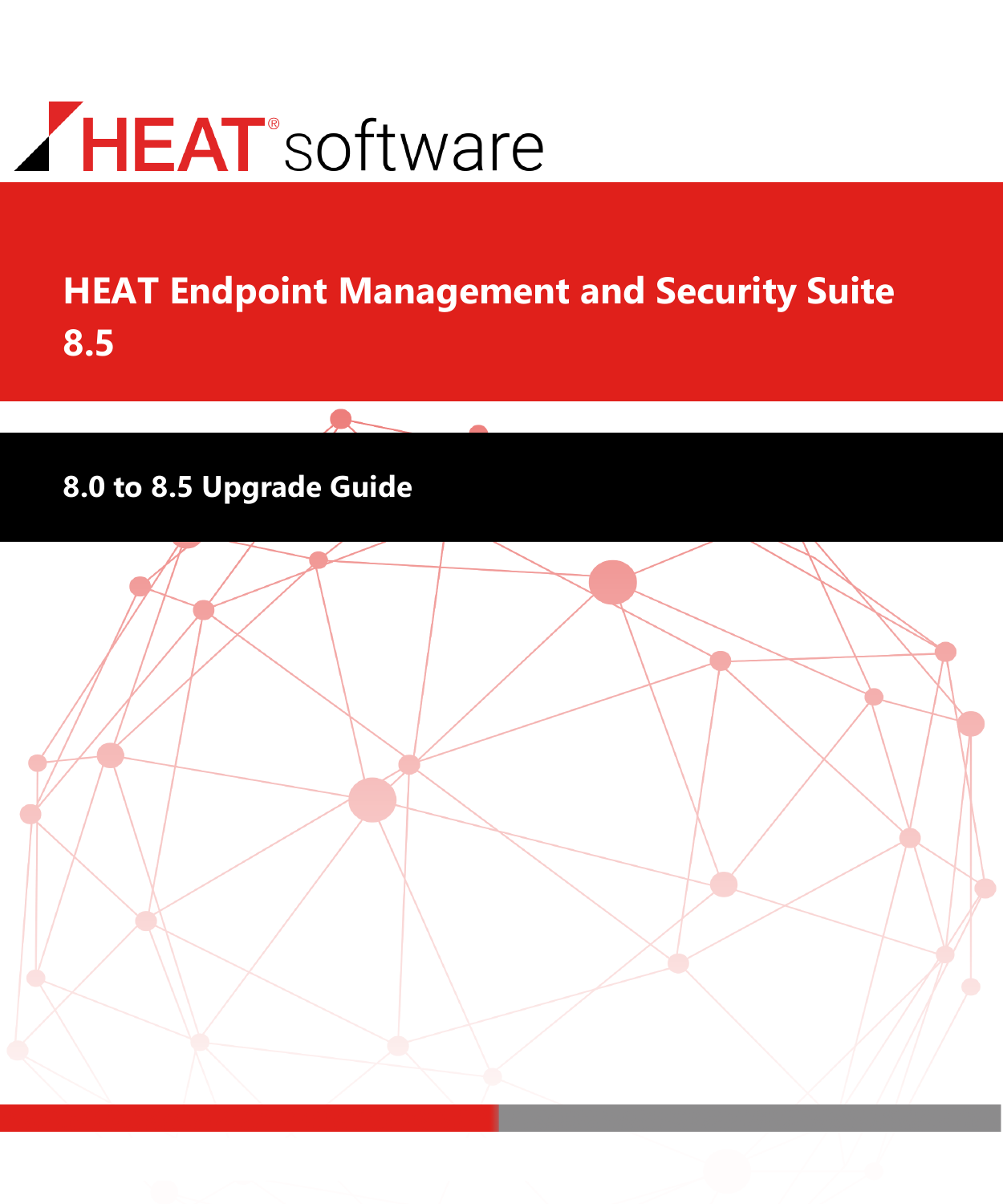

# **HEAT Endpoint Management and Security Suite 8.5**

### **8.0 to 8.5 Upgrade Guide**

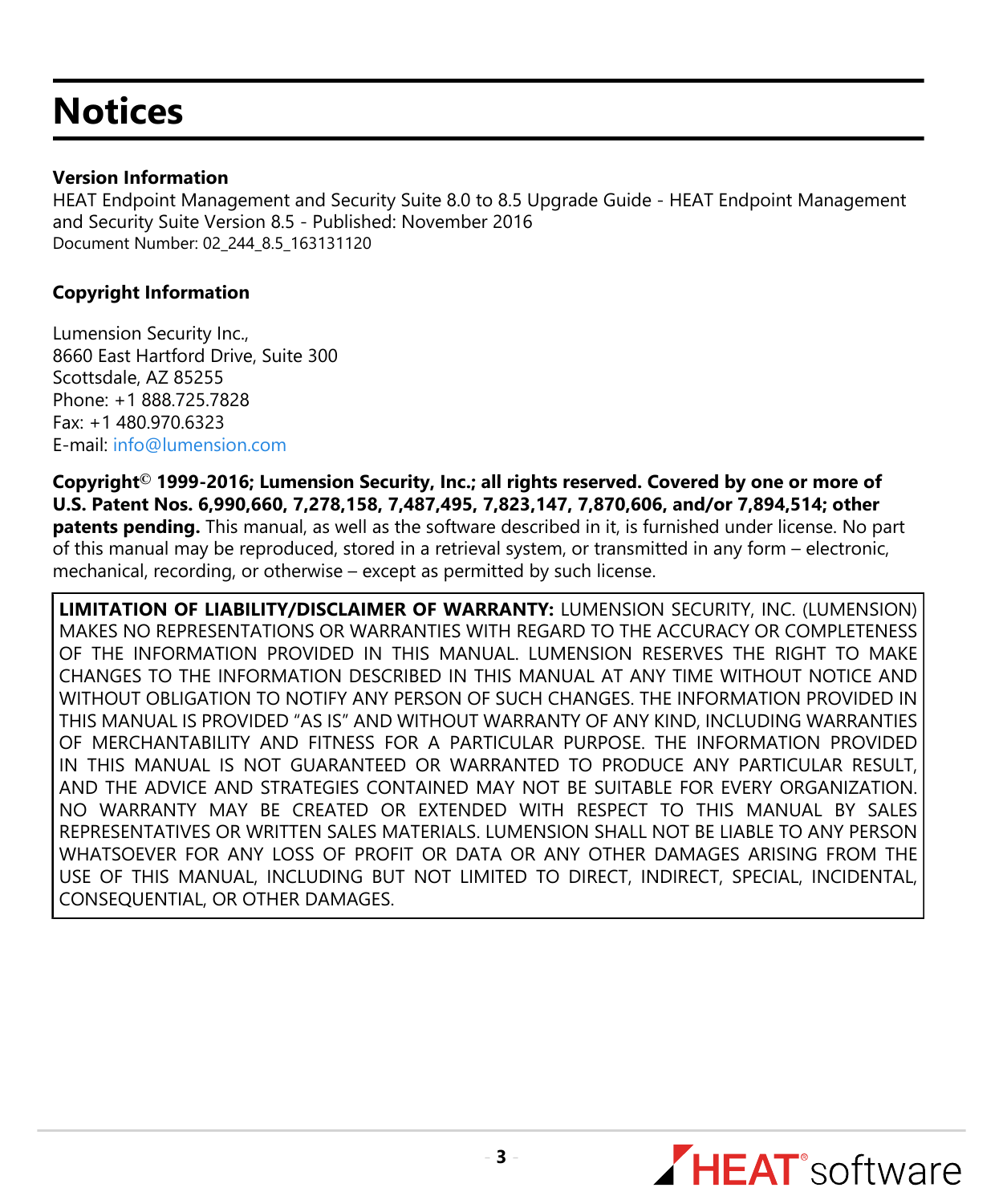# **Notices**

#### **Version Information**

HEAT Endpoint Management and Security Suite 8.0 to 8.5 Upgrade Guide - HEAT Endpoint Management and Security Suite Version 8.5 - Published: November 2016 Document Number: 02\_244\_8.5\_163131120

#### **Copyright Information**

Lumension Security Inc., 8660 East Hartford Drive, Suite 300 Scottsdale, AZ 85255 Phone: +1 888.725.7828 Fax: +1 480.970.6323 E-mail: [info@lumension.com](mailto:info@lumension.com)

**Copyright© 1999-2016; Lumension Security, Inc.; all rights reserved. Covered by one or more of U.S. Patent Nos. 6,990,660, 7,278,158, 7,487,495, 7,823,147, 7,870,606, and/or 7,894,514; other patents pending.** This manual, as well as the software described in it, is furnished under license. No part of this manual may be reproduced, stored in a retrieval system, or transmitted in any form – electronic, mechanical, recording, or otherwise – except as permitted by such license.

**LIMITATION OF LIABILITY/DISCLAIMER OF WARRANTY:** LUMENSION SECURITY, INC. (LUMENSION) MAKES NO REPRESENTATIONS OR WARRANTIES WITH REGARD TO THE ACCURACY OR COMPLETENESS OF THE INFORMATION PROVIDED IN THIS MANUAL. LUMENSION RESERVES THE RIGHT TO MAKE CHANGES TO THE INFORMATION DESCRIBED IN THIS MANUAL AT ANY TIME WITHOUT NOTICE AND WITHOUT OBLIGATION TO NOTIFY ANY PERSON OF SUCH CHANGES. THE INFORMATION PROVIDED IN THIS MANUAL IS PROVIDED "AS IS" AND WITHOUT WARRANTY OF ANY KIND, INCLUDING WARRANTIES OF MERCHANTABILITY AND FITNESS FOR A PARTICULAR PURPOSE. THE INFORMATION PROVIDED IN THIS MANUAL IS NOT GUARANTEED OR WARRANTED TO PRODUCE ANY PARTICULAR RESULT, AND THE ADVICE AND STRATEGIES CONTAINED MAY NOT BE SUITABLE FOR EVERY ORGANIZATION. NO WARRANTY MAY BE CREATED OR EXTENDED WITH RESPECT TO THIS MANUAL BY SALES REPRESENTATIVES OR WRITTEN SALES MATERIALS. LUMENSION SHALL NOT BE LIABLE TO ANY PERSON WHATSOEVER FOR ANY LOSS OF PROFIT OR DATA OR ANY OTHER DAMAGES ARISING FROM THE USE OF THIS MANUAL, INCLUDING BUT NOT LIMITED TO DIRECT, INDIRECT, SPECIAL, INCIDENTAL, CONSEQUENTIAL, OR OTHER DAMAGES.

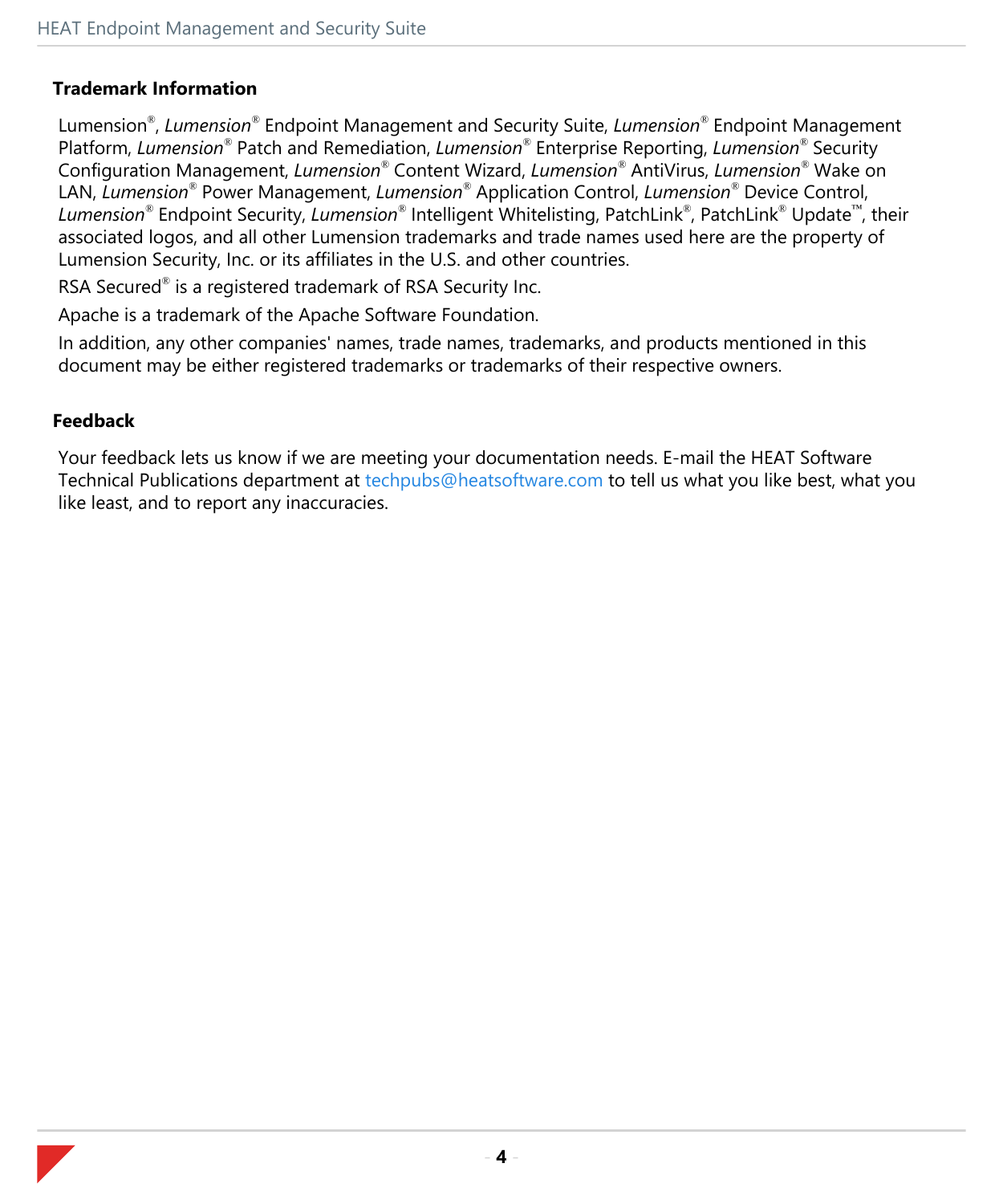#### **Trademark Information**

Lumension® , *Lumension®* Endpoint Management and Security Suite, *Lumension®* Endpoint Management Platform, Lumension<sup>®</sup> Patch and Remediation, Lumension<sup>®</sup> Enterprise Reporting, Lumension<sup>®</sup> Security  $\triangle$  Configuration Management, *Lumension*® Content Wizard, *Lumension*® AntiVirus, *Lumension*® Wake on LAN, *Lumension®* Power Management, *Lumension®* Application Control, *Lumension®* Device Control, *Lumension®* Endpoint Security, *Lumension®* Intelligent Whitelisting, PatchLink® , PatchLink® Update™ , their associated logos, and all other Lumension trademarks and trade names used here are the property of Lumension Security, Inc. or its affiliates in the U.S. and other countries.

RSA Secured® is a registered trademark of RSA Security Inc.

Apache is a trademark of the Apache Software Foundation.

In addition, any other companies' names, trade names, trademarks, and products mentioned in this document may be either registered trademarks or trademarks of their respective owners.

#### **Feedback**

Your feedback lets us know if we are meeting your documentation needs. E-mail the HEAT Software Technical Publications department at [techpubs@heatsoftware.com](mailto:techpubs@lumension.com) to tell us what you like best, what you like least, and to report any inaccuracies.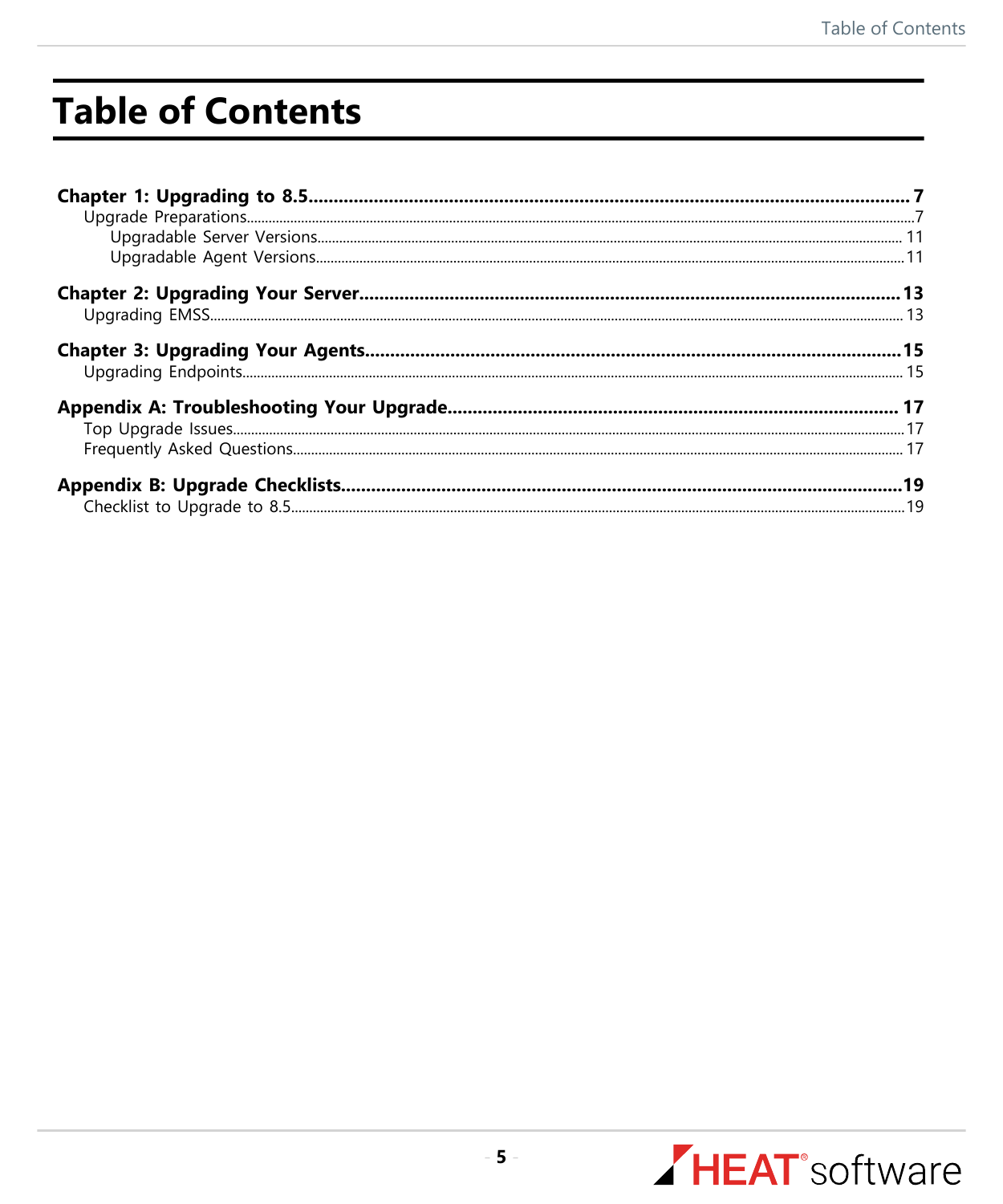# **Table of Contents**

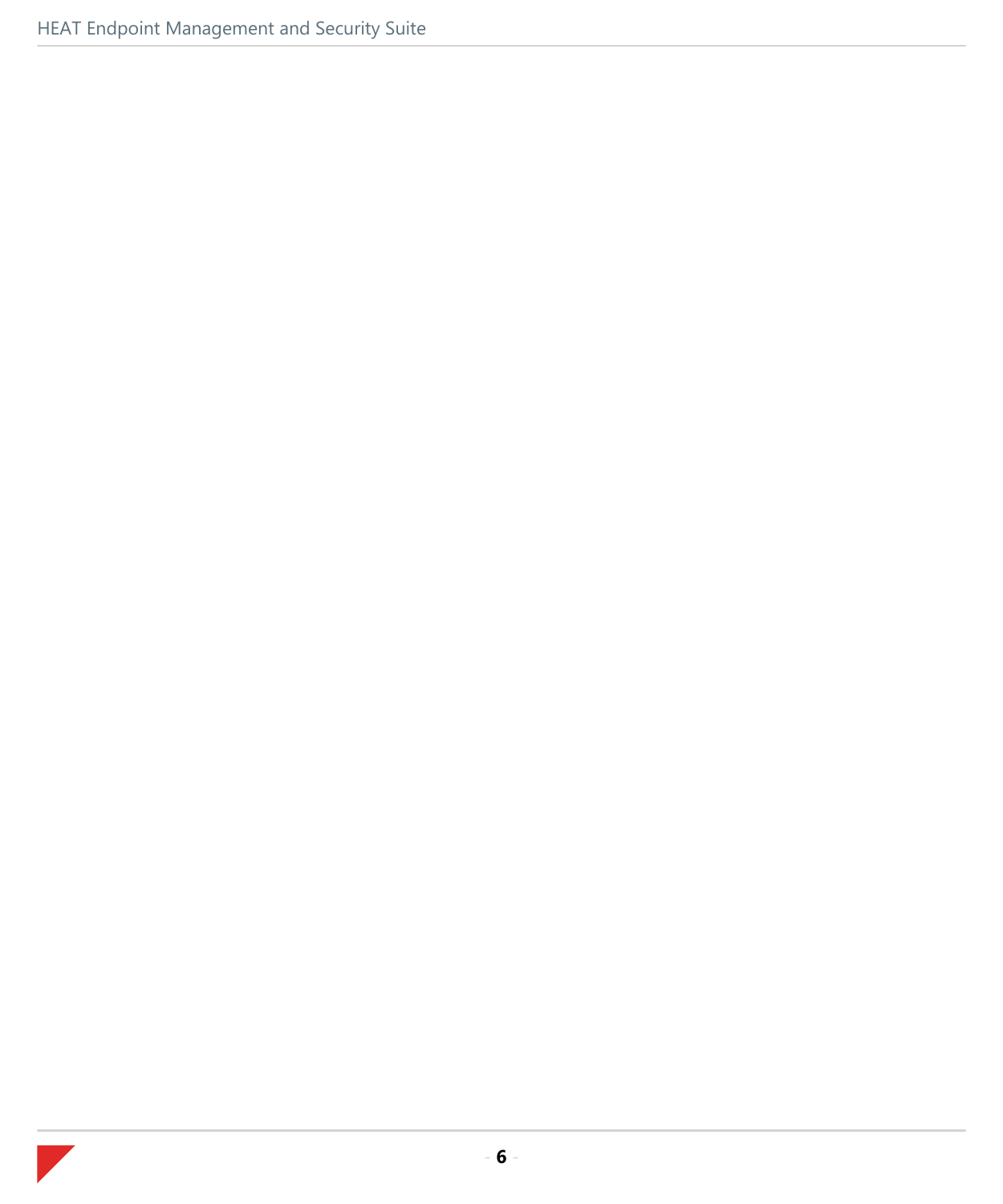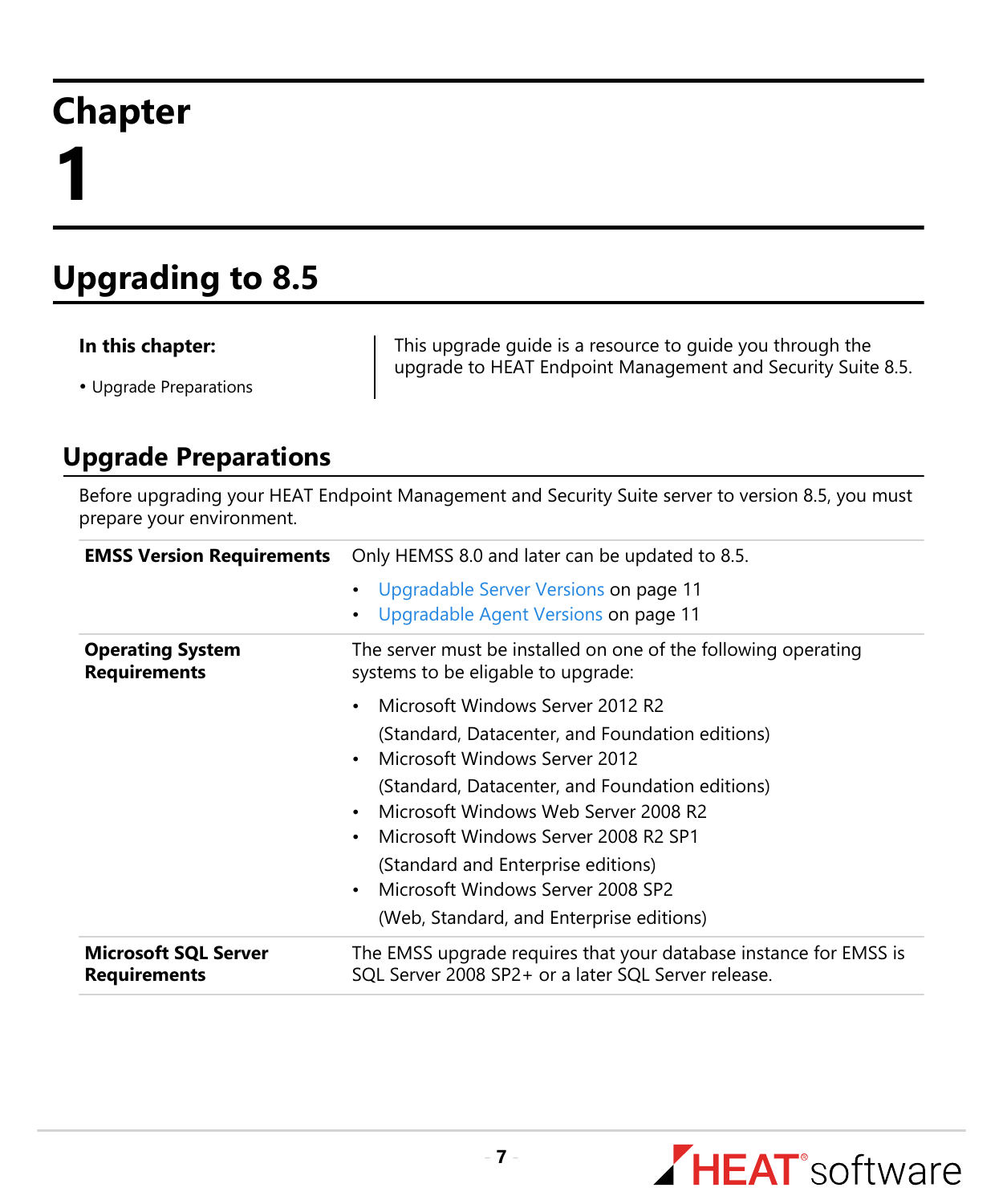# <span id="page-6-0"></span>**Chapter 1**

# **Upgrading to 8.5**

#### **In this chapter:**

This upgrade guide is a resource to guide you through the upgrade to HEAT Endpoint Management and Security Suite 8.5.

• [Upgrade Preparations](#page-6-1)

### <span id="page-6-1"></span>**Upgrade Preparations**

Before upgrading your HEAT Endpoint Management and Security Suite server to version 8.5, you must prepare your environment.

| <b>EMSS Version Requirements</b>                   | Only HEMSS 8.0 and later can be updated to 8.5.                                                                          |  |
|----------------------------------------------------|--------------------------------------------------------------------------------------------------------------------------|--|
|                                                    | Upgradable Server Versions on page 11<br>$\bullet$<br>Upgradable Agent Versions on page 11<br>$\bullet$                  |  |
| <b>Operating System</b><br><b>Requirements</b>     | The server must be installed on one of the following operating<br>systems to be eligable to upgrade:                     |  |
|                                                    | Microsoft Windows Server 2012 R2<br>$\bullet$                                                                            |  |
|                                                    | (Standard, Datacenter, and Foundation editions)                                                                          |  |
|                                                    | Microsoft Windows Server 2012<br>$\bullet$                                                                               |  |
|                                                    | (Standard, Datacenter, and Foundation editions)                                                                          |  |
|                                                    | Microsoft Windows Web Server 2008 R2<br>$\bullet$                                                                        |  |
|                                                    | Microsoft Windows Server 2008 R2 SP1<br>٠                                                                                |  |
|                                                    | (Standard and Enterprise editions)                                                                                       |  |
|                                                    | Microsoft Windows Server 2008 SP2<br>$\bullet$                                                                           |  |
|                                                    | (Web, Standard, and Enterprise editions)                                                                                 |  |
| <b>Microsoft SQL Server</b><br><b>Requirements</b> | The EMSS upgrade requires that your database instance for EMSS is<br>SQL Server 2008 SP2+ or a later SQL Server release. |  |

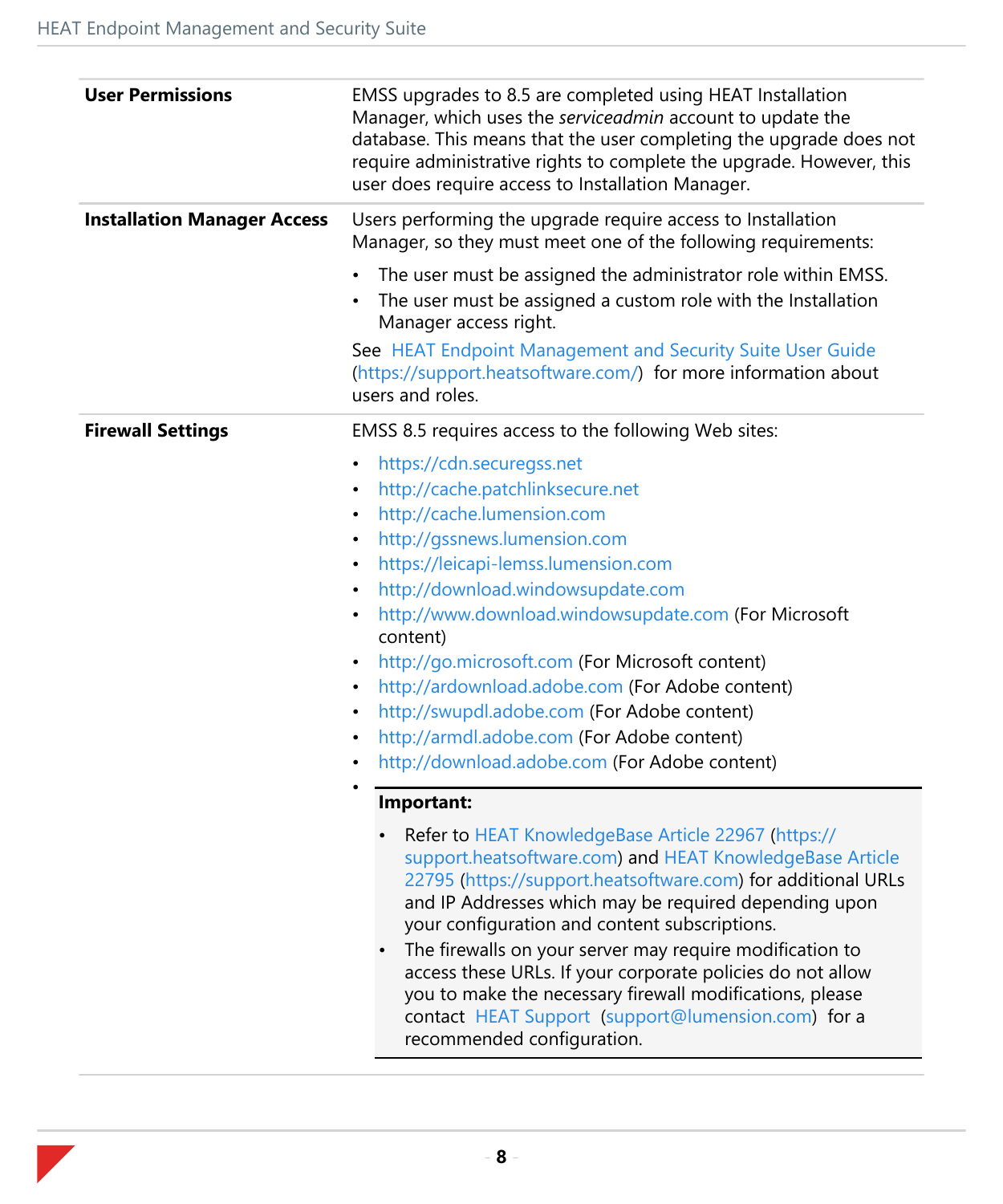| <b>User Permissions</b>            | EMSS upgrades to 8.5 are completed using HEAT Installation<br>Manager, which uses the serviceadmin account to update the<br>database. This means that the user completing the upgrade does not<br>require administrative rights to complete the upgrade. However, this<br>user does require access to Installation Manager.                                                                                                                                                                                                                                                      |
|------------------------------------|----------------------------------------------------------------------------------------------------------------------------------------------------------------------------------------------------------------------------------------------------------------------------------------------------------------------------------------------------------------------------------------------------------------------------------------------------------------------------------------------------------------------------------------------------------------------------------|
| <b>Installation Manager Access</b> | Users performing the upgrade require access to Installation<br>Manager, so they must meet one of the following requirements:                                                                                                                                                                                                                                                                                                                                                                                                                                                     |
|                                    | The user must be assigned the administrator role within EMSS.<br>The user must be assigned a custom role with the Installation<br>Manager access right.                                                                                                                                                                                                                                                                                                                                                                                                                          |
|                                    | See HEAT Endpoint Management and Security Suite User Guide<br>(https://support.heatsoftware.com/) for more information about<br>users and roles.                                                                                                                                                                                                                                                                                                                                                                                                                                 |
| <b>Firewall Settings</b>           | EMSS 8.5 requires access to the following Web sites:                                                                                                                                                                                                                                                                                                                                                                                                                                                                                                                             |
|                                    | https://cdn.securegss.net<br>http://cache.patchlinksecure.net<br>$\bullet$<br>http://cache.lumension.com<br>http://gssnews.lumension.com<br>$\bullet$<br>https://leicapi-lemss.lumension.com<br>http://download.windowsupdate.com<br>http://www.download.windowsupdate.com (For Microsoft<br>content)<br>http://go.microsoft.com (For Microsoft content)<br>http://ardownload.adobe.com (For Adobe content)<br>http://swupdl.adobe.com (For Adobe content)<br>http://armdl.adobe.com (For Adobe content)<br>http://download.adobe.com (For Adobe content)                        |
|                                    | Important:                                                                                                                                                                                                                                                                                                                                                                                                                                                                                                                                                                       |
|                                    | Refer to HEAT KnowledgeBase Article 22967 (https://<br>$\bullet$<br>support.heatsoftware.com) and HEAT KnowledgeBase Article<br>22795 (https://support.heatsoftware.com) for additional URLs<br>and IP Addresses which may be required depending upon<br>your configuration and content subscriptions.<br>The firewalls on your server may require modification to<br>access these URLs. If your corporate policies do not allow<br>you to make the necessary firewall modifications, please<br>contact HEAT Support (support@lumension.com) for a<br>recommended configuration. |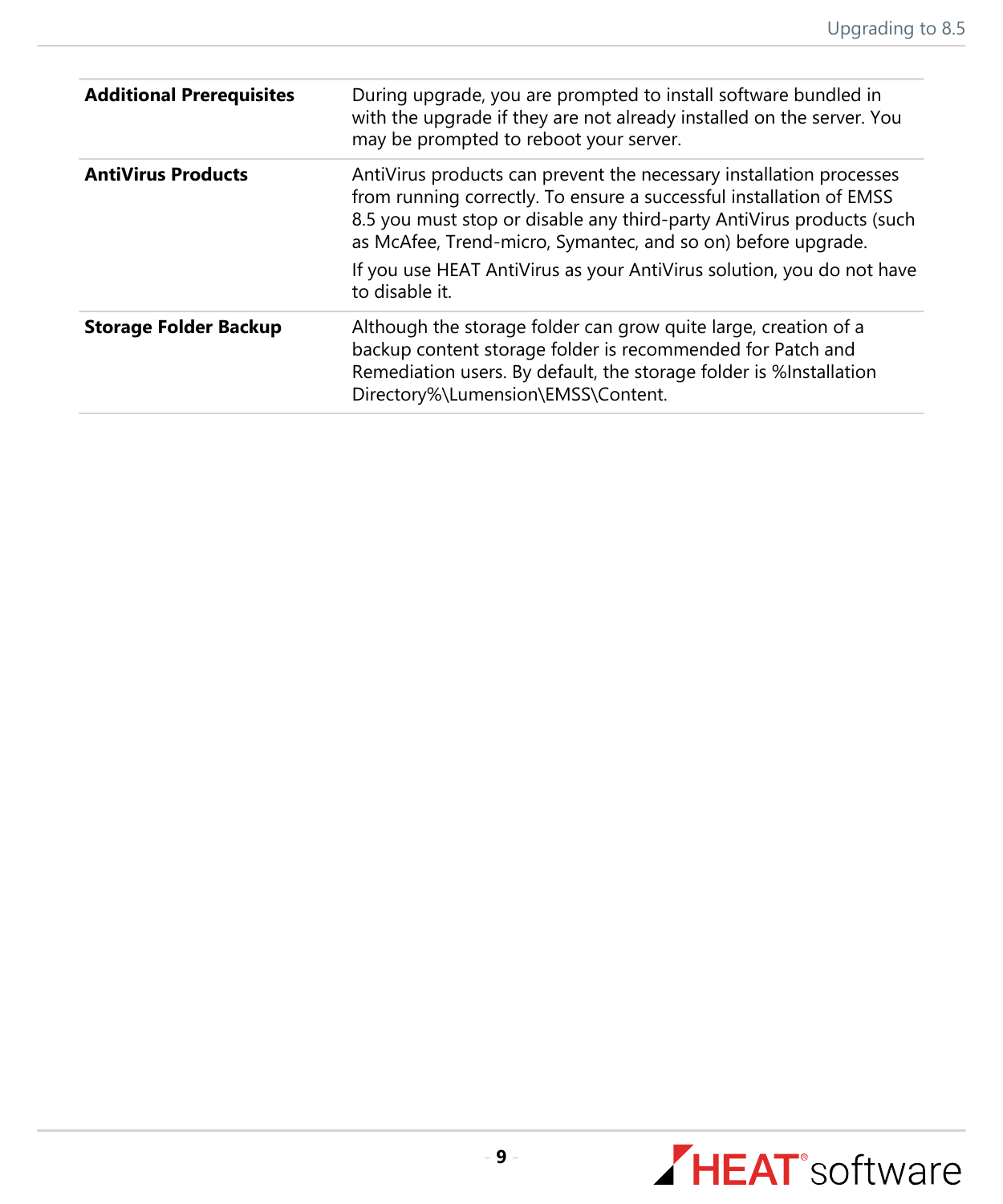| <b>Additional Prerequisites</b> | During upgrade, you are prompted to install software bundled in<br>with the upgrade if they are not already installed on the server. You<br>may be prompted to reboot your server.                                                                                                  |
|---------------------------------|-------------------------------------------------------------------------------------------------------------------------------------------------------------------------------------------------------------------------------------------------------------------------------------|
| <b>AntiVirus Products</b>       | AntiVirus products can prevent the necessary installation processes<br>from running correctly. To ensure a successful installation of EMSS<br>8.5 you must stop or disable any third-party AntiVirus products (such<br>as McAfee, Trend-micro, Symantec, and so on) before upgrade. |
|                                 | If you use HEAT AntiVirus as your AntiVirus solution, you do not have<br>to disable it.                                                                                                                                                                                             |
| <b>Storage Folder Backup</b>    | Although the storage folder can grow quite large, creation of a<br>backup content storage folder is recommended for Patch and<br>Remediation users. By default, the storage folder is %Installation<br>Directory%\Lumension\EMSS\Content.                                           |

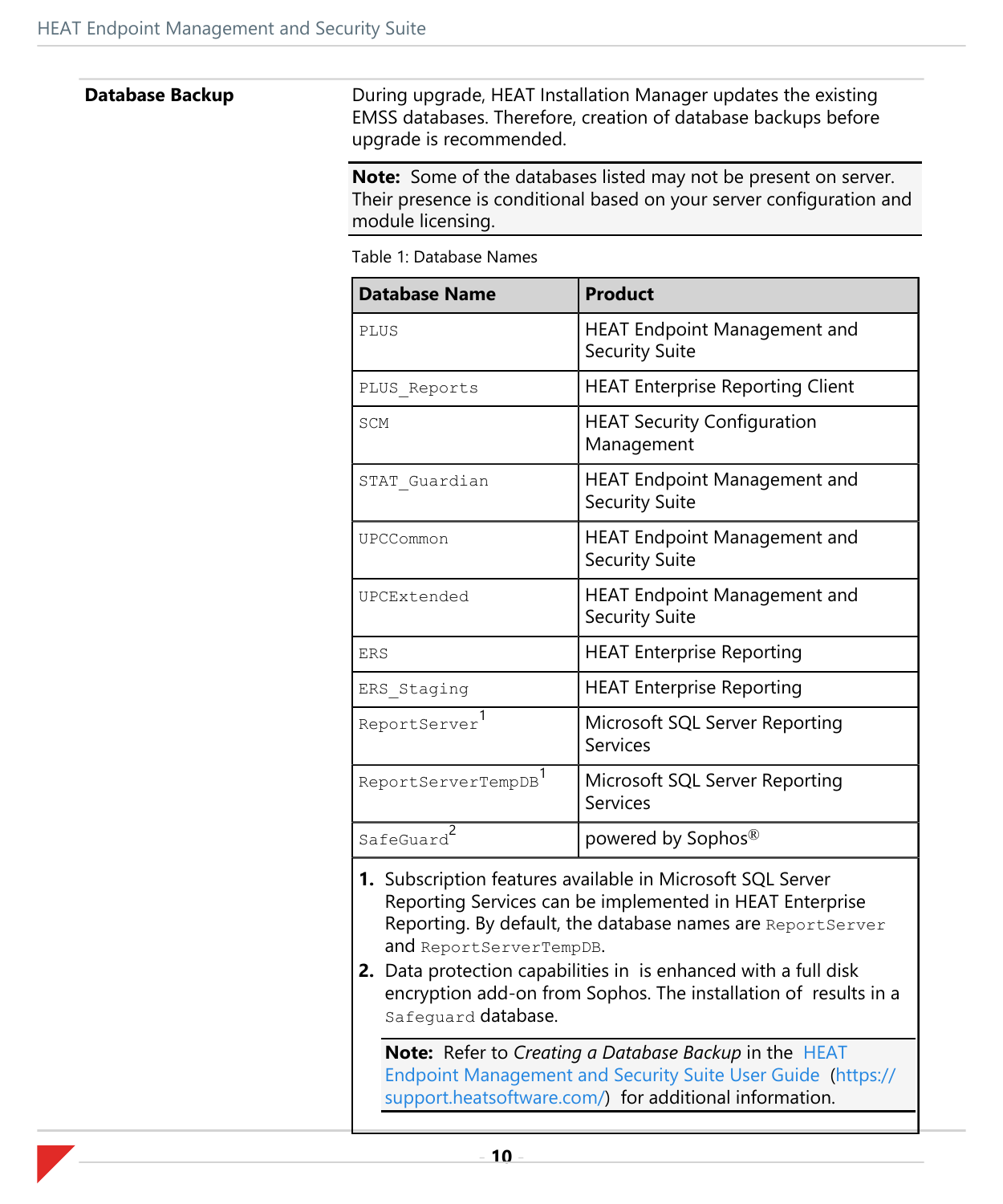#### **Database Backup During upgrade, HEAT Installation Manager updates the existing** EMSS databases. Therefore, creation of database backups before upgrade is recommended.

**Note:** Some of the databases listed may not be present on server. Their presence is conditional based on your server configuration and module licensing.

| <b>Database Name</b>   | <b>Product</b>                                               |
|------------------------|--------------------------------------------------------------|
| PLUS                   | <b>HEAT Endpoint Management and</b><br><b>Security Suite</b> |
| PLUS Reports           | <b>HEAT Enterprise Reporting Client</b>                      |
| SCM                    | <b>HEAT Security Configuration</b><br>Management             |
| STAT Guardian          | <b>HEAT Endpoint Management and</b><br><b>Security Suite</b> |
| UPCCommon              | <b>HEAT Endpoint Management and</b><br><b>Security Suite</b> |
| UPCExtended            | <b>HEAT Endpoint Management and</b><br><b>Security Suite</b> |
| <b>ERS</b>             | <b>HEAT Enterprise Reporting</b>                             |
| ERS Staging            | <b>HEAT Enterprise Reporting</b>                             |
| ReportServer           | Microsoft SQL Server Reporting<br>Services                   |
| ReportServerTempDB     | Microsoft SQL Server Reporting<br>Services                   |
| SafeGuard <sup>2</sup> | powered by Sophos <sup>®</sup>                               |

Table 1: Database Names

- **1.** Subscription features available in Microsoft SQL Server Reporting Services can be implemented in HEAT Enterprise Reporting. By default, the database names are ReportServer and ReportServerTempDB.
- **2.** Data protection capabilities in is enhanced with a full disk encryption add-on from Sophos. The installation of results in a Safeguard database.

**Note:** Refer to *Creating a Database Backup* in the [HEAT](https://support.heatsoftware.com/) [Endpoint Management and Security Suite User Guide](https://support.heatsoftware.com/) ([https://](https://support.heatsoftware.com/) [support.heatsoftware.com/\)](https://support.heatsoftware.com/) for additional information.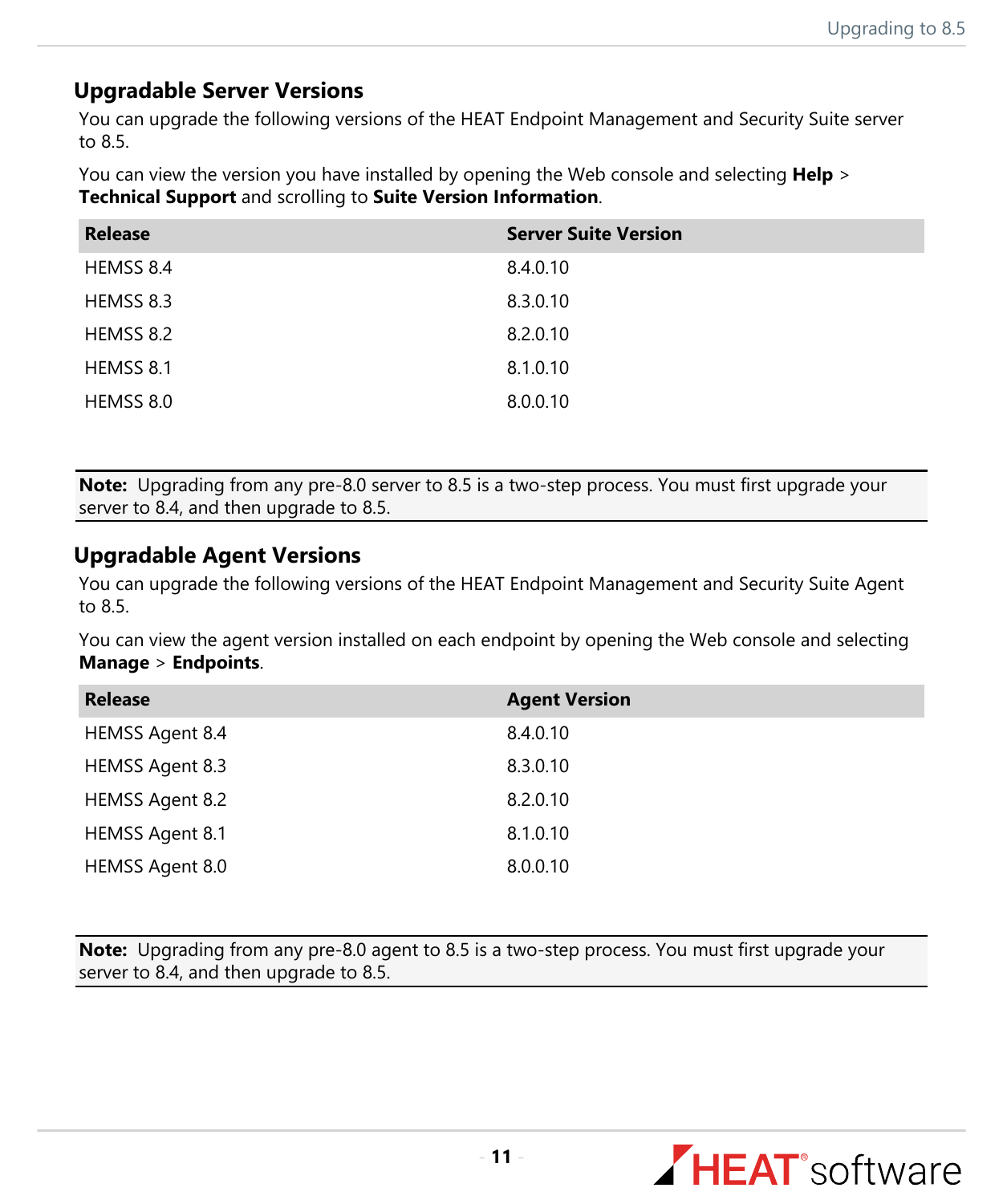#### <span id="page-10-0"></span>**Upgradable Server Versions**

You can upgrade the following versions of the HEAT Endpoint Management and Security Suite server to 8.5.

You can view the version you have installed by opening the Web console and selecting **Help** > **Technical Support** and scrolling to **Suite Version Information**.

| <b>Release</b> | <b>Server Suite Version</b> |
|----------------|-----------------------------|
| HEMSS 8.4      | 8.4.0.10                    |
| HEMSS 8.3      | 8.3.0.10                    |
| HEMSS 8.2      | 8.2.0.10                    |
| HEMSS 8.1      | 8.1.0.10                    |
| HEMSS 8.0      | 8.0.0.10                    |

**Note:** Upgrading from any pre-8.0 server to 8.5 is a two-step process. You must first upgrade your server to 8.4, and then upgrade to 8.5.

#### <span id="page-10-1"></span>**Upgradable Agent Versions**

You can upgrade the following versions of the HEAT Endpoint Management and Security Suite Agent to 8.5.

You can view the agent version installed on each endpoint by opening the Web console and selecting **Manage** > **Endpoints**.

| <b>Release</b>  | <b>Agent Version</b> |
|-----------------|----------------------|
| HEMSS Agent 8.4 | 8.4.0.10             |
| HEMSS Agent 8.3 | 8.3.0.10             |
| HEMSS Agent 8.2 | 8.2.0.10             |
| HEMSS Agent 8.1 | 8.1.0.10             |
| HEMSS Agent 8.0 | 8.0.0.10             |

**Note:** Upgrading from any pre-8.0 agent to 8.5 is a two-step process. You must first upgrade your server to 8.4, and then upgrade to 8.5.

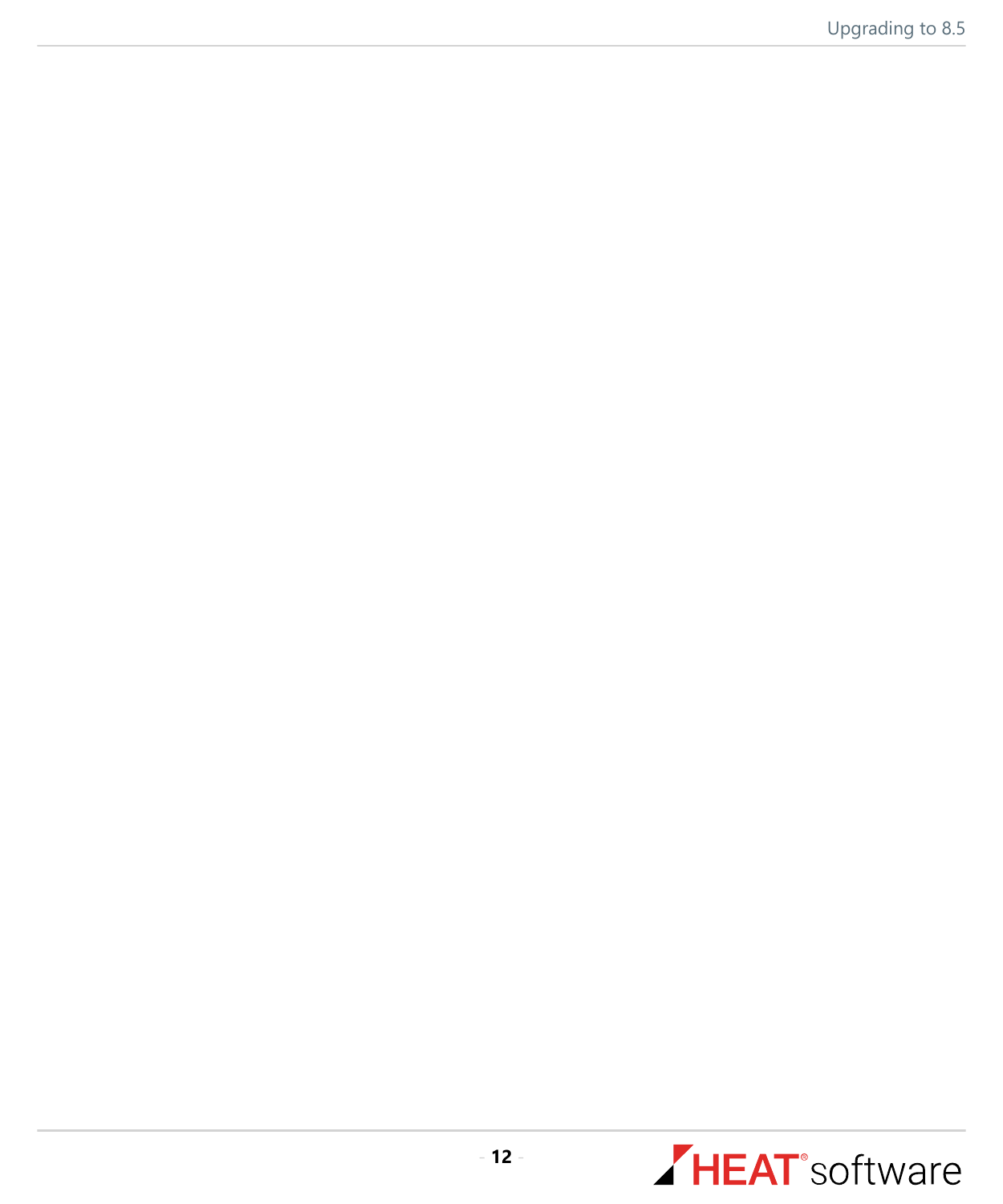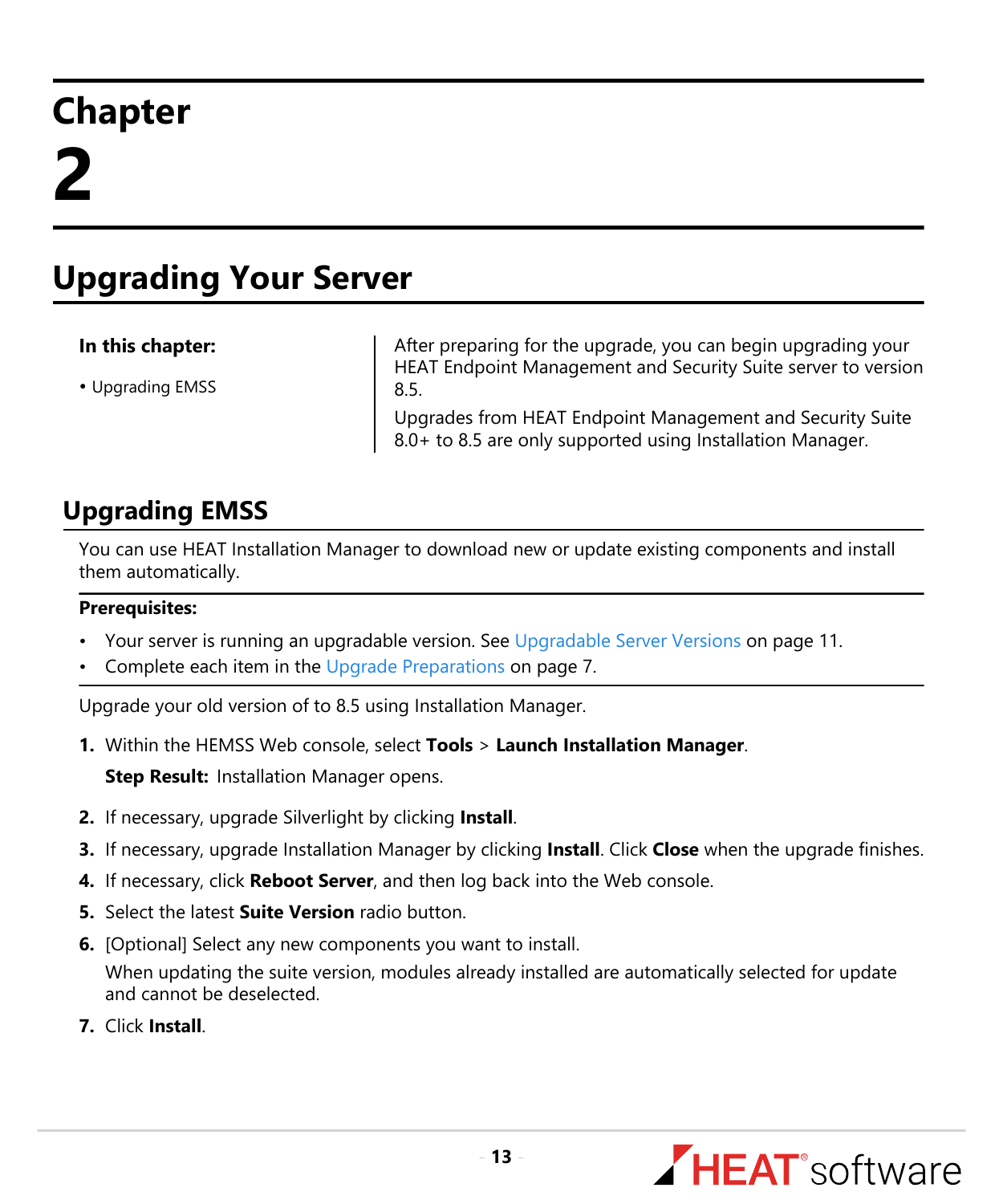# <span id="page-12-0"></span>**Chapter**

## **Upgrading Your Server**

#### **In this chapter:**

• [Upgrading EMSS](#page-12-1)

After preparing for the upgrade, you can begin upgrading your HEAT Endpoint Management and Security Suite server to version 8.5.

Upgrades from HEAT Endpoint Management and Security Suite 8.0+ to 8.5 are only supported using Installation Manager.

### <span id="page-12-1"></span>**Upgrading EMSS**

You can use HEAT Installation Manager to download new or update existing components and install them automatically.

#### **Prerequisites:**

- Your server is running an upgradable version. See [Upgradable Server Versions](#page-10-0) on page 11.
- Complete each item in the [Upgrade Preparations](#page-6-1) on page 7.

Upgrade your old version of to 8.5 using Installation Manager.

**1.** Within the HEMSS Web console, select **Tools** > **Launch Installation Manager**.

**Step Result:** Installation Manager opens.

- **2.** If necessary, upgrade Silverlight by clicking **Install**.
- **3.** If necessary, upgrade Installation Manager by clicking **Install**. Click **Close** when the upgrade finishes.
- **4.** If necessary, click **Reboot Server**, and then log back into the Web console.
- **5.** Select the latest **Suite Version** radio button.
- **6.** [Optional] Select any new components you want to install. When updating the suite version, modules already installed are automatically selected for update and cannot be deselected.
- **7.** Click **Install**.

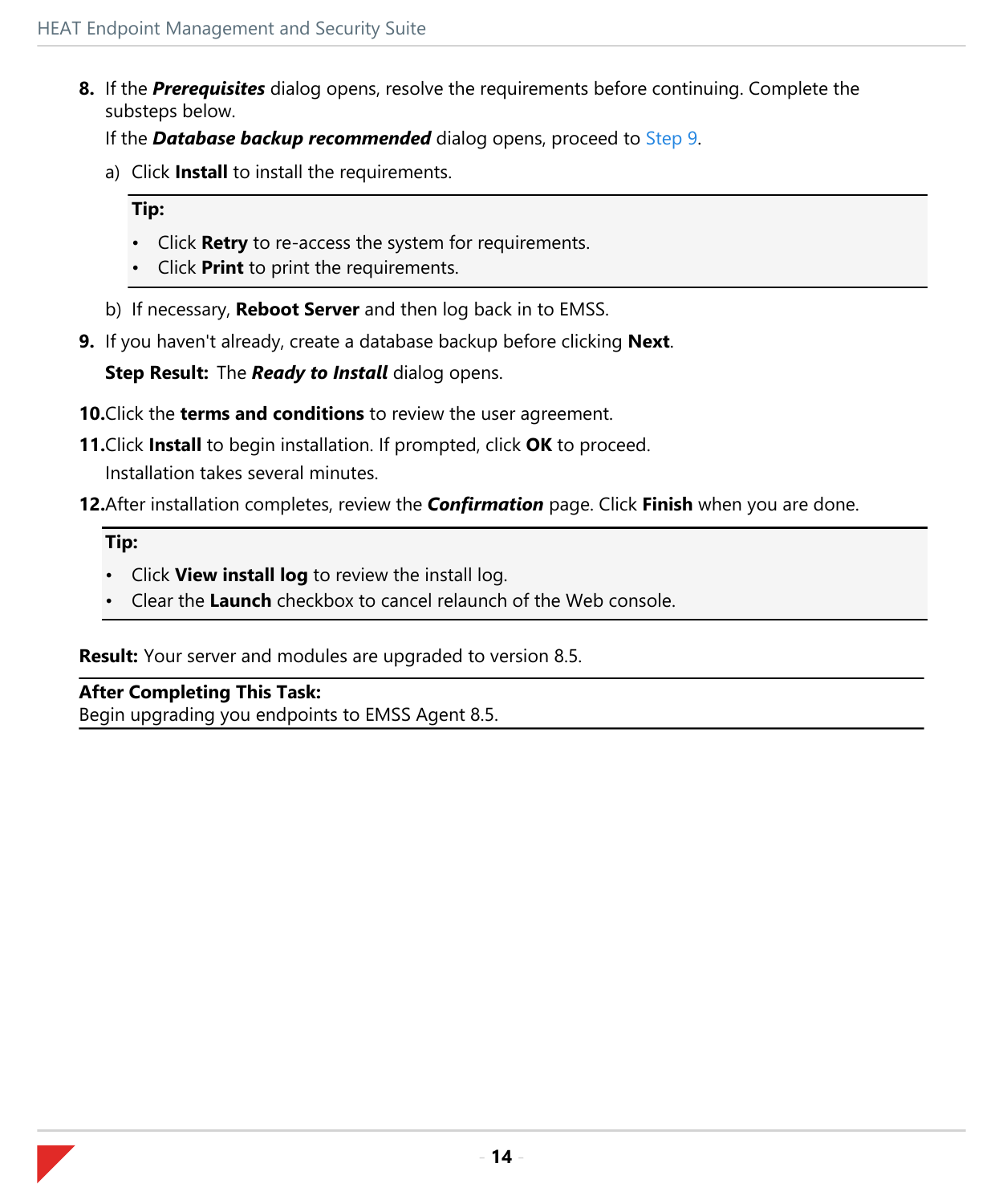**8.** If the *Prerequisites* dialog opens, resolve the requirements before continuing. Complete the substeps below.

If the *Database backup recommended* dialog opens, proceed to [Step 9.](#page-13-0)

a) Click **Install** to install the requirements.

#### **Tip:**

- Click **Retry** to re-access the system for requirements.
- Click **Print** to print the requirements.
- b) If necessary, **Reboot Server** and then log back in to EMSS.
- <span id="page-13-0"></span>**9.** If you haven't already, create a database backup before clicking **Next**.

**Step Result:** The *Ready to Install* dialog opens.

- **10.**Click the **terms and conditions** to review the user agreement.
- **11.**Click **Install** to begin installation. If prompted, click **OK** to proceed. Installation takes several minutes.

**12.**After installation completes, review the *Confirmation* page. Click **Finish** when you are done.

#### **Tip:**

- Click **View install log** to review the install log.
- Clear the **Launch** checkbox to cancel relaunch of the Web console.

**Result:** Your server and modules are upgraded to version 8.5.

#### **After Completing This Task:**

Begin upgrading you endpoints to EMSS Agent 8.5.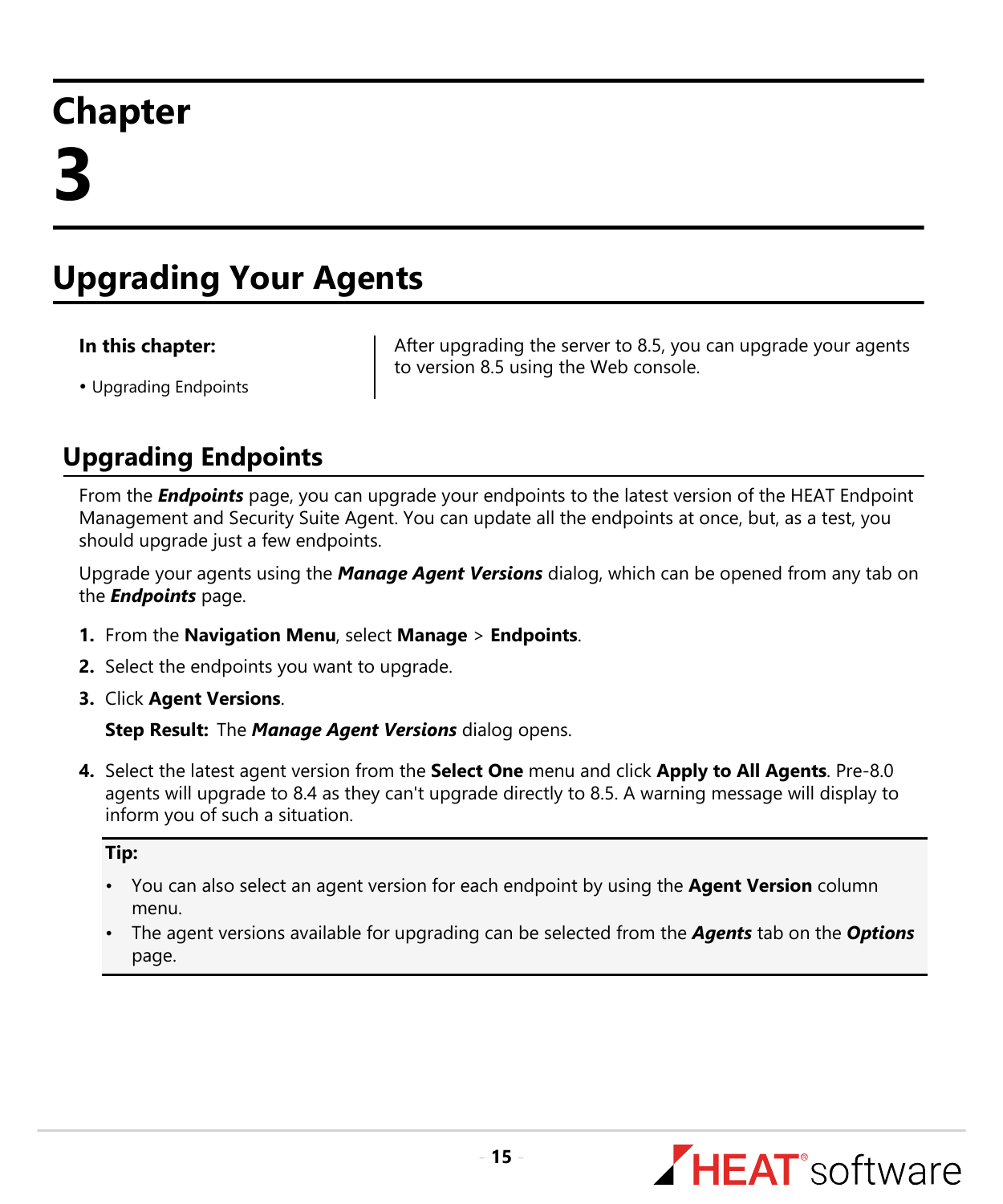## <span id="page-14-0"></span>**Upgrading Your Agents**

#### **In this chapter:**

• [Upgrading Endpoints](#page-14-1)

After upgrading the server to 8.5, you can upgrade your agents to version 8.5 using the Web console.

### <span id="page-14-1"></span>**Upgrading Endpoints**

From the *Endpoints* page, you can upgrade your endpoints to the latest version of the HEAT Endpoint Management and Security Suite Agent. You can update all the endpoints at once, but, as a test, you should upgrade just a few endpoints.

Upgrade your agents using the *Manage Agent Versions* dialog, which can be opened from any tab on the *Endpoints* page.

- **1.** From the **Navigation Menu**, select **Manage** > **Endpoints**.
- **2.** Select the endpoints you want to upgrade.
- **3.** Click **Agent Versions**.

**Step Result:** The *Manage Agent Versions* dialog opens.

**4.** Select the latest agent version from the **Select One** menu and click **Apply to All Agents**. Pre-8.0 agents will upgrade to 8.4 as they can't upgrade directly to 8.5. A warning message will display to inform you of such a situation.

#### **Tip:**

- You can also select an agent version for each endpoint by using the **Agent Version** column menu.
- The agent versions available for upgrading can be selected from the *Agents* tab on the *Options* page.

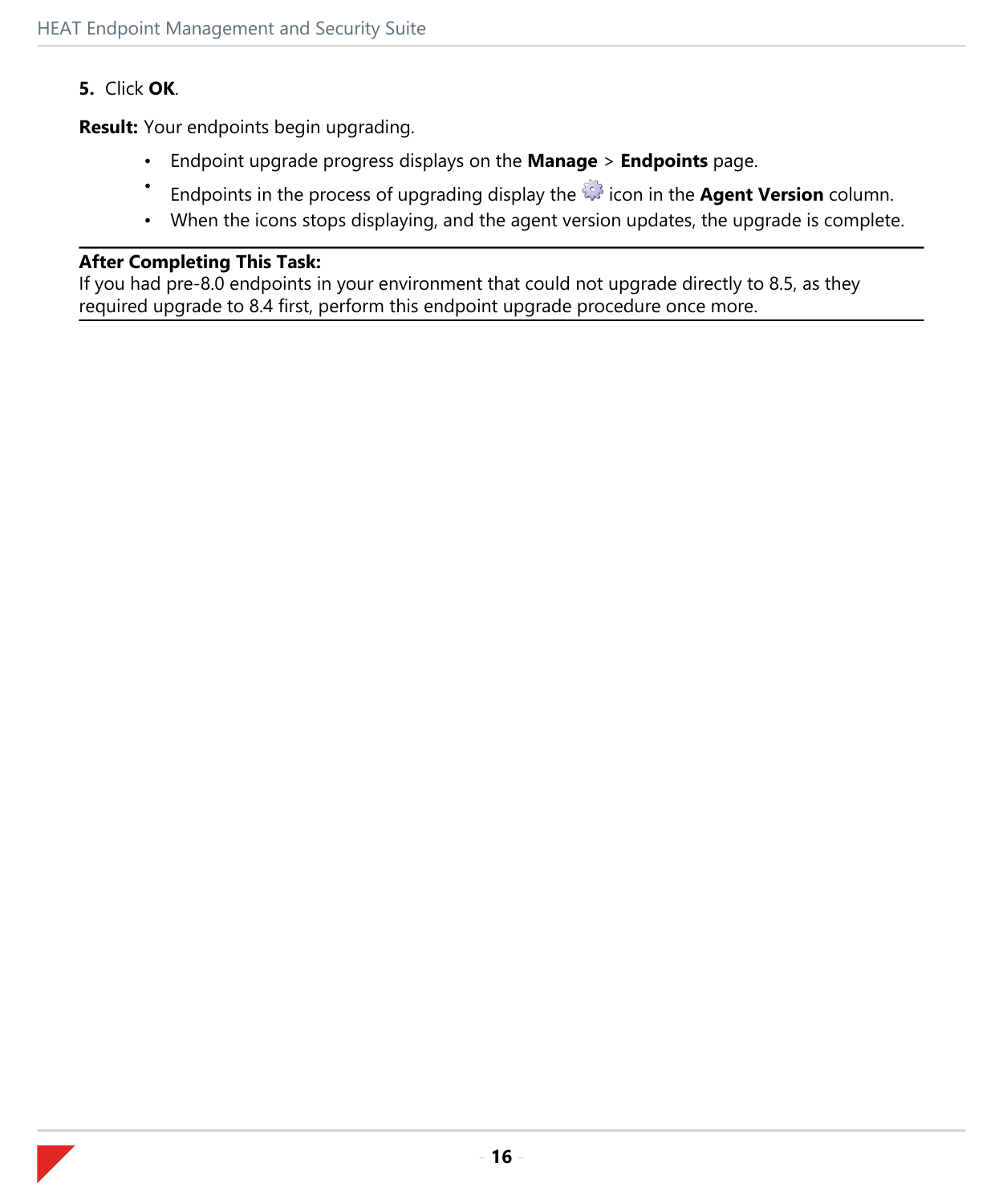#### **5.** Click **OK**.

**Result:** Your endpoints begin upgrading.

- Endpoint upgrade progress displays on the **Manage** > **Endpoints** page.
- Endpoints in the process of upgrading display the **interpoint in the Agent Version** column.
- When the icons stops displaying, and the agent version updates, the upgrade is complete.

#### **After Completing This Task:**

If you had pre-8.0 endpoints in your environment that could not upgrade directly to 8.5, as they required upgrade to 8.4 first, perform this endpoint upgrade procedure once more.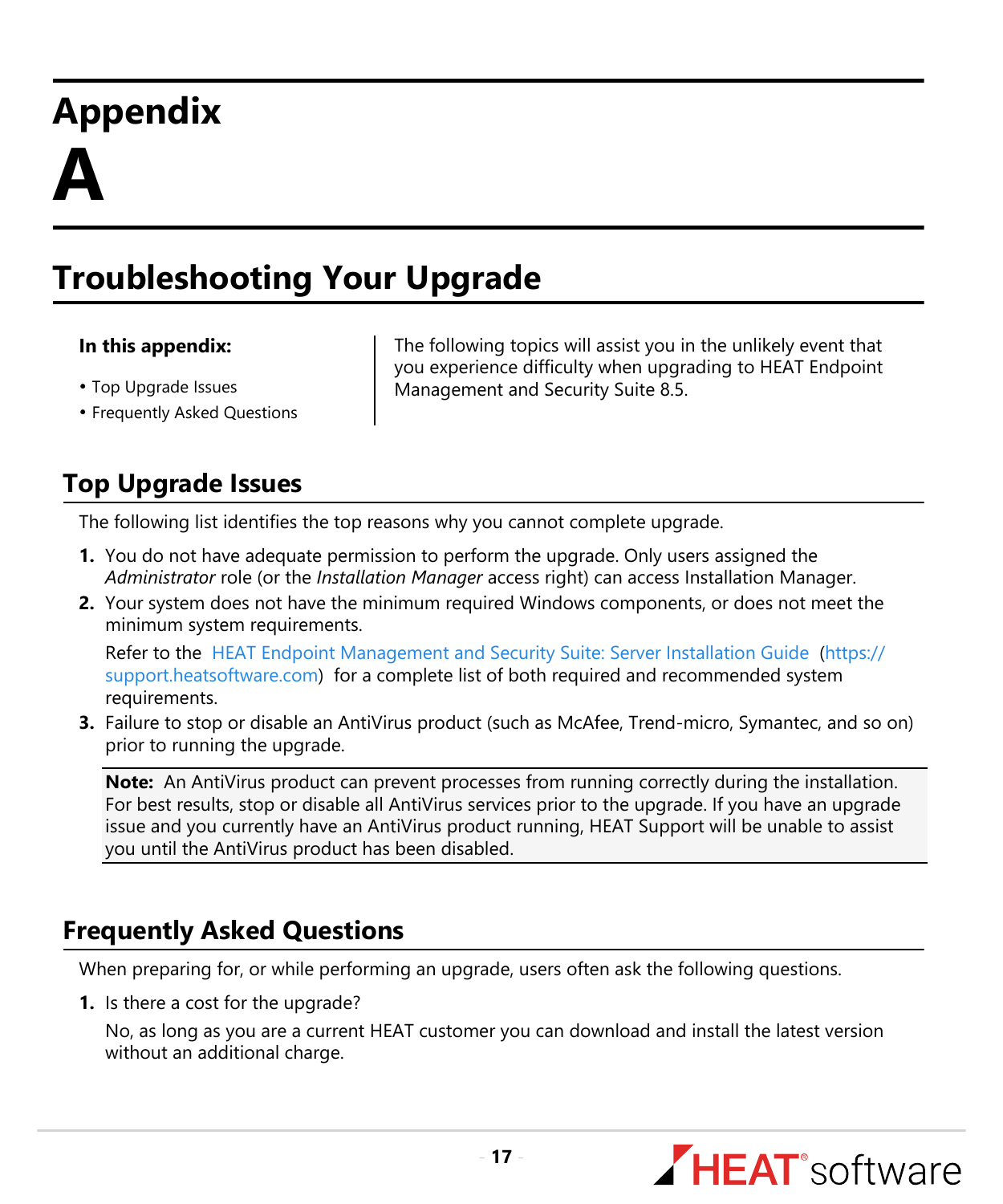# <span id="page-16-0"></span>**Appendix A**

## **Troubleshooting Your Upgrade**

#### **In this appendix:**

- [Top Upgrade Issues](#page-16-1)
- [Frequently Asked Questions](#page-16-2)

### <span id="page-16-1"></span>**Top Upgrade Issues**

The following list identifies the top reasons why you cannot complete upgrade.

- **1.** You do not have adequate permission to perform the upgrade. Only users assigned the *Administrator* role (or the *Installation Manager* access right) can access Installation Manager.
- **2.** Your system does not have the minimum required Windows components, or does not meet the minimum system requirements.

Refer to the [HEAT Endpoint Management and Security Suite: Server Installation Guide](https://support.heatsoftware.com) [\(https://](https://support.heatsoftware.com) [support.heatsoftware.com](https://support.heatsoftware.com)) for a complete list of both required and recommended system requirements.

Management and Security Suite 8.5.

The following topics will assist you in the unlikely event that you experience difficulty when upgrading to HEAT Endpoint

**3.** Failure to stop or disable an AntiVirus product (such as McAfee, Trend-micro, Symantec, and so on) prior to running the upgrade.

**Note:** An AntiVirus product can prevent processes from running correctly during the installation. For best results, stop or disable all AntiVirus services prior to the upgrade. If you have an upgrade issue and you currently have an AntiVirus product running, HEAT Support will be unable to assist you until the AntiVirus product has been disabled.

### <span id="page-16-2"></span>**Frequently Asked Questions**

When preparing for, or while performing an upgrade, users often ask the following questions.

**1.** Is there a cost for the upgrade?

No, as long as you are a current HEAT customer you can download and install the latest version without an additional charge.

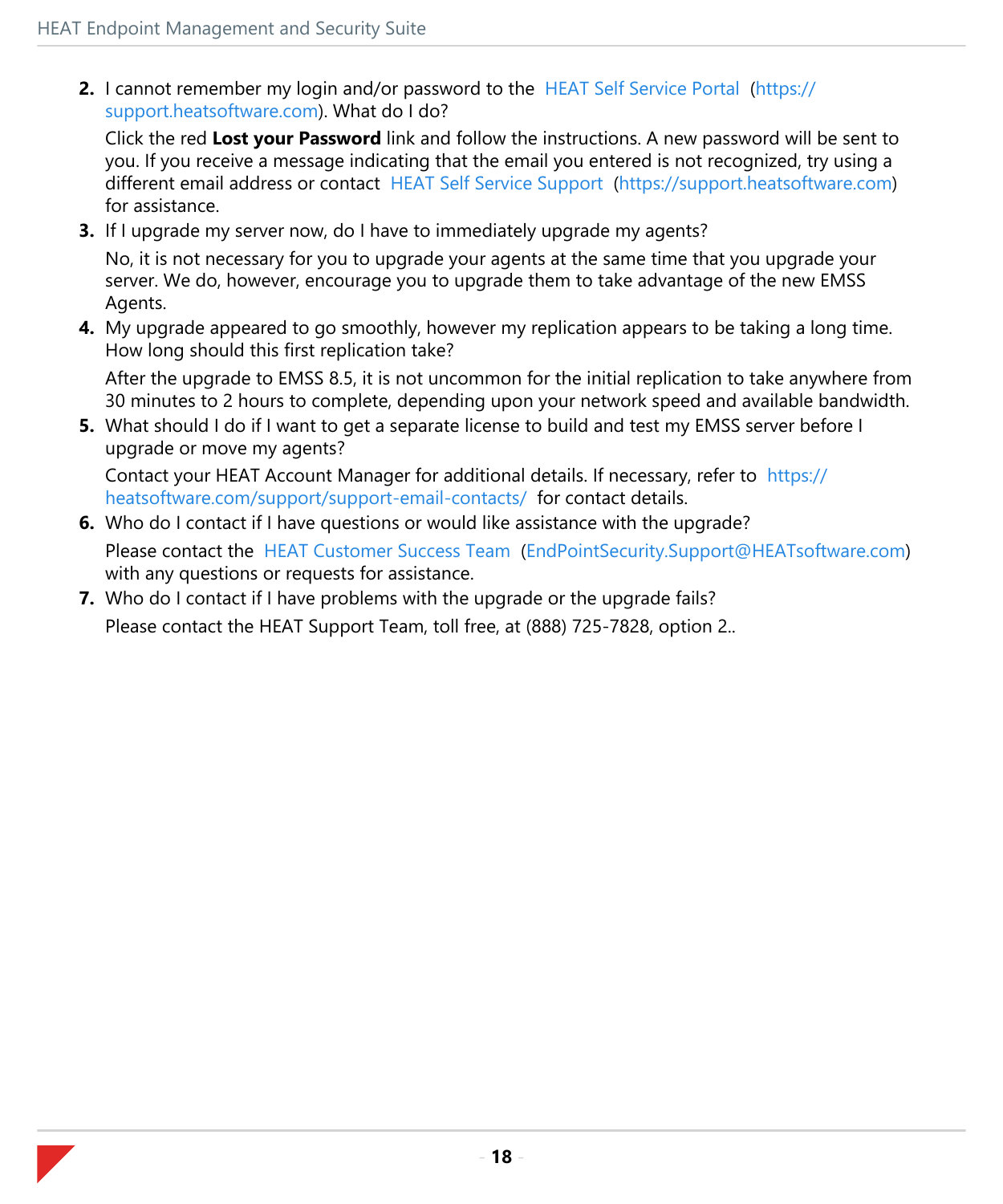**2.** I cannot remember my login and/or password to the [HEAT Self Service Portal](https://support.heatsoftware.com) ([https://](https://support.heatsoftware.com) [support.heatsoftware.com](https://support.heatsoftware.com)). What do I do?

Click the red **Lost your Password** link and follow the instructions. A new password will be sent to you. If you receive a message indicating that the email you entered is not recognized, try using a different email address or contact [HEAT Self Service Support](https://support.heatsoftware.com) [\(https://support.heatsoftware.com](https://support.heatsoftware.com)) for assistance.

**3.** If I upgrade my server now, do I have to immediately upgrade my agents?

No, it is not necessary for you to upgrade your agents at the same time that you upgrade your server. We do, however, encourage you to upgrade them to take advantage of the new EMSS Agents.

**4.** My upgrade appeared to go smoothly, however my replication appears to be taking a long time. How long should this first replication take?

After the upgrade to EMSS 8.5, it is not uncommon for the initial replication to take anywhere from 30 minutes to 2 hours to complete, depending upon your network speed and available bandwidth.

**5.** What should I do if I want to get a separate license to build and test my EMSS server before I upgrade or move my agents?

Contact your HEAT Account Manager for additional details. If necessary, refer to [https://](https://heatsoftware.com/support/support-email-contacts/) [heatsoftware.com/support/support-email-contacts/](https://heatsoftware.com/support/support-email-contacts/) for contact details.

- **6.** Who do I contact if I have questions or would like assistance with the upgrade? Please contact the [HEAT Customer Success Team](mailto:EndPointSecurity.Support@HEATsoftware.com) [\(EndPointSecurity.Support@HEATsoftware.com](mailto:EndPointSecurity.Support@HEATsoftware.com)) with any questions or requests for assistance.
- **7.** Who do I contact if I have problems with the upgrade or the upgrade fails? Please contact the HEAT Support Team, toll free, at (888) 725-7828, option 2..

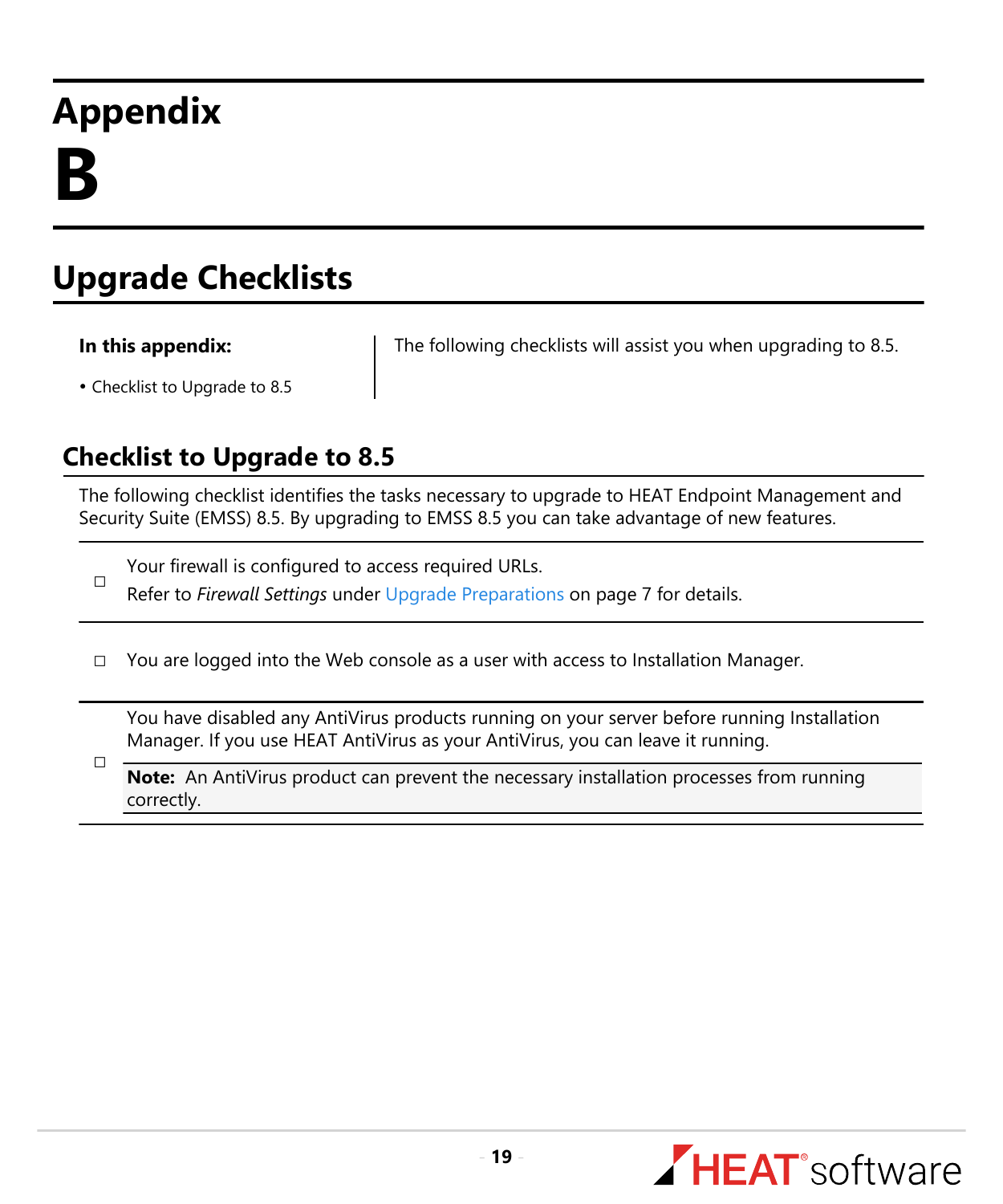### <span id="page-18-0"></span>**Upgrade Checklists**

#### **In this appendix:**

The following checklists will assist you when upgrading to 8.5.

• [Checklist to Upgrade to 8.5](#page-18-1)

### <span id="page-18-1"></span>**Checklist to Upgrade to 8.5**

The following checklist identifies the tasks necessary to upgrade to HEAT Endpoint Management and Security Suite (EMSS) 8.5. By upgrading to EMSS 8.5 you can take advantage of new features.

Your firewall is configured to access required URLs.

 $\Box$ Refer to *Firewall Settings* under [Upgrade Preparations](#page-6-1) on page 7 for details.

 $\Box$  You are logged into the Web console as a user with access to Installation Manager.

You have disabled any AntiVirus products running on your server before running Installation Manager. If you use HEAT AntiVirus as your AntiVirus, you can leave it running.

П. **Note:** An AntiVirus product can prevent the necessary installation processes from running correctly.